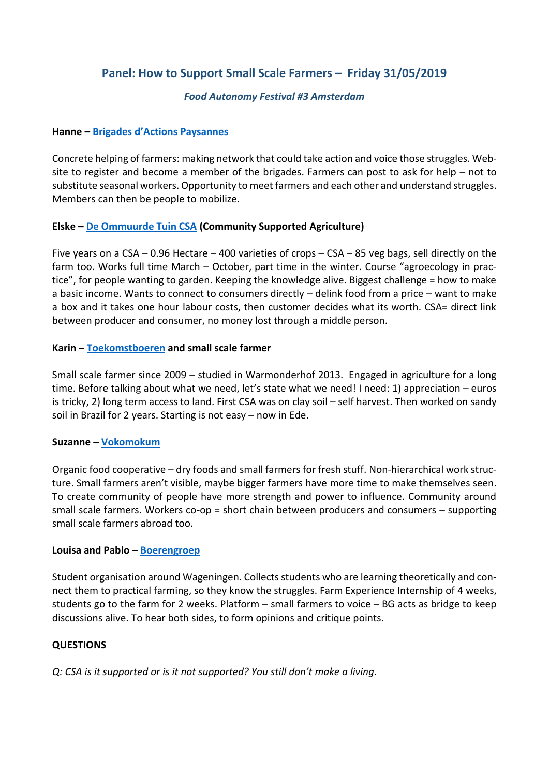# **Panel: How to Support Small Scale Farmers – Friday 31/05/2019**

### *Food Autonomy Festival #3 Amsterdam*

### **Hanne – Brigades d'A[ctions Paysannes](https://brigadesactionspaysannes.be/)**

Concrete helping of farmers: making network that could take action and voice those struggles. Website to register and become a member of the brigades. Farmers can post to ask for help – not to substitute seasonal workers. Opportunity to meet farmers and each other and understand struggles. Members can then be people to mobilize.

## **Elske – [De Ommuurde Tuin CSA](https://www.ommuurdetuin.nl/) (Community Supported Agriculture)**

Five years on a CSA – 0.96 Hectare – 400 varieties of crops – CSA – 85 veg bags, sell directly on the farm too. Works full time March – October, part time in the winter. Course "agroecology in practice", for people wanting to garden. Keeping the knowledge alive. Biggest challenge = how to make a basic income. Wants to connect to consumers directly – delink food from a price – want to make a box and it takes one hour labour costs, then customer decides what its worth. CSA= direct link between producer and consumer, no money lost through a middle person.

#### **Karin – [Toekomstboeren](https://toekomstboeren.nl/english/) and small scale farmer**

Small scale farmer since 2009 – studied in Warmonderhof 2013. Engaged in agriculture for a long time. Before talking about what we need, let's state what we need! I need: 1) appreciation – euros is tricky, 2) long term access to land. First CSA was on clay soil – self harvest. Then worked on sandy soil in Brazil for 2 years. Starting is not easy – now in Ede.

#### **Suzanne – [Vokomokum](http://www.vokomokum.nl/about-us/)**

Organic food cooperative – dry foods and small farmers for fresh stuff. Non-hierarchical work structure. Small farmers aren't visible, maybe bigger farmers have more time to make themselves seen. To create community of people have more strength and power to influence. Community around small scale farmers. Workers co-op = short chain between producers and consumers – supporting small scale farmers abroad too.

#### **Louisa and Pablo – [Boerengroep](https://www.boerengroep.nl/)**

Student organisation around Wageningen. Collects students who are learning theoretically and connect them to practical farming, so they know the struggles. Farm Experience Internship of 4 weeks, students go to the farm for 2 weeks. Platform – small farmers to voice – BG acts as bridge to keep discussions alive. To hear both sides, to form opinions and critique points.

# **QUESTIONS**

*Q: CSA is it supported or is it not supported? You still don't make a living.*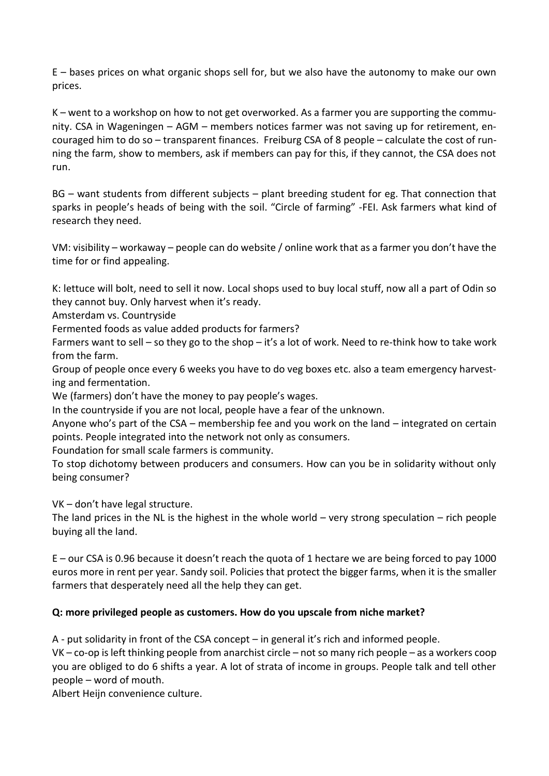E – bases prices on what organic shops sell for, but we also have the autonomy to make our own prices.

K – went to a workshop on how to not get overworked. As a farmer you are supporting the community. CSA in Wageningen – AGM – members notices farmer was not saving up for retirement, encouraged him to do so – transparent finances. Freiburg CSA of 8 people – calculate the cost of running the farm, show to members, ask if members can pay for this, if they cannot, the CSA does not run.

BG – want students from different subjects – plant breeding student for eg. That connection that sparks in people's heads of being with the soil. "Circle of farming" -FEI. Ask farmers what kind of research they need.

VM: visibility – workaway – people can do website / online work that as a farmer you don't have the time for or find appealing.

K: lettuce will bolt, need to sell it now. Local shops used to buy local stuff, now all a part of Odin so they cannot buy. Only harvest when it's ready.

Amsterdam vs. Countryside

Fermented foods as value added products for farmers?

Farmers want to sell – so they go to the shop – it's a lot of work. Need to re-think how to take work from the farm.

Group of people once every 6 weeks you have to do veg boxes etc. also a team emergency harvesting and fermentation.

We (farmers) don't have the money to pay people's wages.

In the countryside if you are not local, people have a fear of the unknown.

Anyone who's part of the CSA – membership fee and you work on the land – integrated on certain points. People integrated into the network not only as consumers.

Foundation for small scale farmers is community.

To stop dichotomy between producers and consumers. How can you be in solidarity without only being consumer?

VK – don't have legal structure.

The land prices in the NL is the highest in the whole world – very strong speculation – rich people buying all the land.

E – our CSA is 0.96 because it doesn't reach the quota of 1 hectare we are being forced to pay 1000 euros more in rent per year. Sandy soil. Policies that protect the bigger farms, when it is the smaller farmers that desperately need all the help they can get.

# **Q: more privileged people as customers. How do you upscale from niche market?**

A - put solidarity in front of the CSA concept – in general it's rich and informed people.

VK – co-op is left thinking people from anarchist circle – not so many rich people – as a workers coop you are obliged to do 6 shifts a year. A lot of strata of income in groups. People talk and tell other people – word of mouth.

Albert Heijn convenience culture.